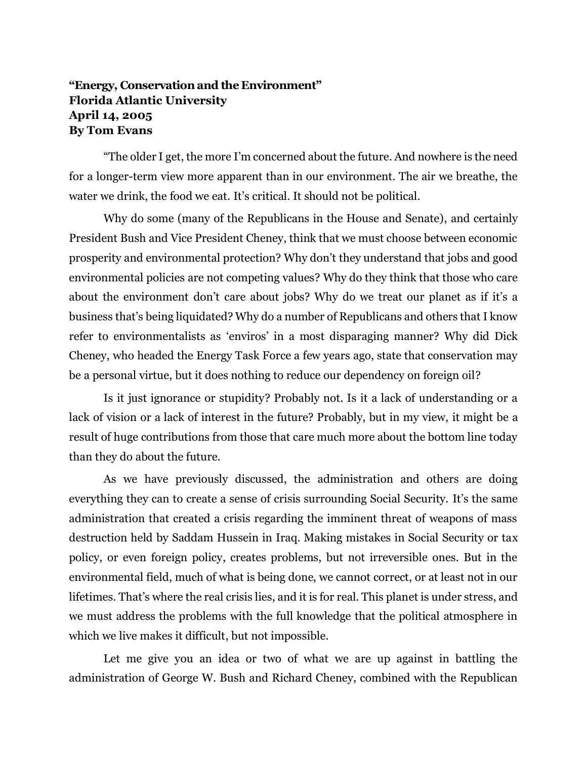## **"Energy, Conservation and the Environment" Florida Atlantic University April 14, 2005 By Tom Evans**

"The older I get, the more I'm concerned about the future. And nowhere is the need for a longer-term view more apparent than in our environment. The air we breathe, the water we drink, the food we eat. It's critical. It should not be political.

Why do some (many of the Republicans in the House and Senate), and certainly President Bush and Vice President Cheney, think that we must choose between economic prosperity and environmental protection? Why don't they understand that jobs and good environmental policies are not competing values? Why do they think that those who care about the environment don't care about jobs? Why do we treat our planet as if it's a business that's being liquidated? Why do a number of Republicans and others that I know refer to environmentalists as 'enviros' in a most disparaging manner? Why did Dick Cheney, who headed the Energy Task Force a few years ago, state that conservation may be a personal virtue, but it does nothing to reduce our dependency on foreign oil?

Is it just ignorance or stupidity? Probably not. Is it a lack of understanding or a lack of vision or a lack of interest in the future? Probably, but in my view, it might be a result of huge contributions from those that care much more about the bottom line today than they do about the future.

As we have previously discussed, the administration and others are doing everything they can to create a sense of crisis surrounding Social Security. It's the same administration that created a crisis regarding the imminent threat of weapons of mass destruction held by Saddam Hussein in Iraq. Making mistakes in Social Security or tax policy, or even foreign policy, creates problems, but not irreversible ones. But in the environmental field, much of what is being done, we cannot correct, or at least not in our lifetimes. That's where the real crisis lies, and it is for real. This planet is under stress, and we must address the problems with the full knowledge that the political atmosphere in which we live makes it difficult, but not impossible.

Let me give you an idea or two of what we are up against in battling the administration of George W. Bush and Richard Cheney, combined with the Republican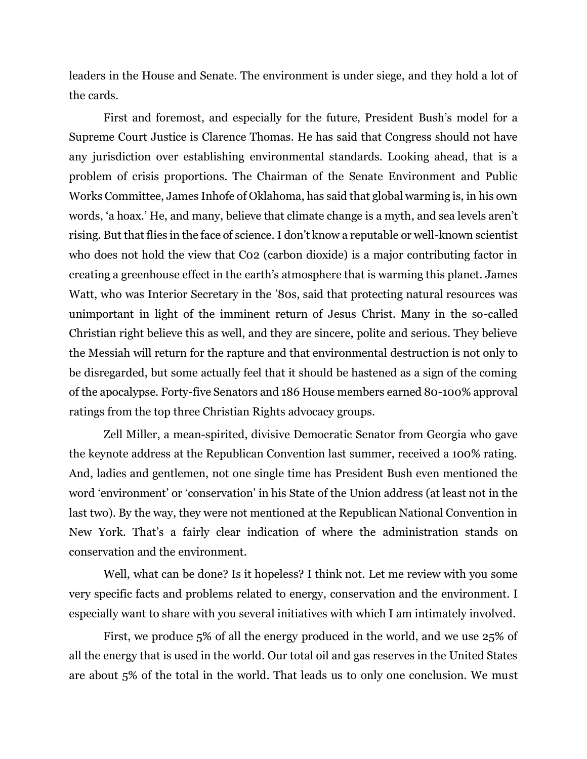leaders in the House and Senate. The environment is under siege, and they hold a lot of the cards.

First and foremost, and especially for the future, President Bush's model for a Supreme Court Justice is Clarence Thomas. He has said that Congress should not have any jurisdiction over establishing environmental standards. Looking ahead, that is a problem of crisis proportions. The Chairman of the Senate Environment and Public Works Committee, James Inhofe of Oklahoma, has said that global warming is, in his own words, 'a hoax.' He, and many, believe that climate change is a myth, and sea levels aren't rising. But that flies in the face of science. I don't know a reputable or well-known scientist who does not hold the view that C02 (carbon dioxide) is a major contributing factor in creating a greenhouse effect in the earth's atmosphere that is warming this planet. James Watt, who was Interior Secretary in the '80s, said that protecting natural resources was unimportant in light of the imminent return of Jesus Christ. Many in the so-called Christian right believe this as well, and they are sincere, polite and serious. They believe the Messiah will return for the rapture and that environmental destruction is not only to be disregarded, but some actually feel that it should be hastened as a sign of the coming of the apocalypse. Forty-five Senators and 186 House members earned 80-100% approval ratings from the top three Christian Rights advocacy groups.

Zell Miller, a mean-spirited, divisive Democratic Senator from Georgia who gave the keynote address at the Republican Convention last summer, received a 100% rating. And, ladies and gentlemen, not one single time has President Bush even mentioned the word 'environment' or 'conservation' in his State of the Union address (at least not in the last two). By the way, they were not mentioned at the Republican National Convention in New York. That's a fairly clear indication of where the administration stands on conservation and the environment.

Well, what can be done? Is it hopeless? I think not. Let me review with you some very specific facts and problems related to energy, conservation and the environment. I especially want to share with you several initiatives with which I am intimately involved.

First, we produce 5% of all the energy produced in the world, and we use 25% of all the energy that is used in the world. Our total oil and gas reserves in the United States are about 5% of the total in the world. That leads us to only one conclusion. We must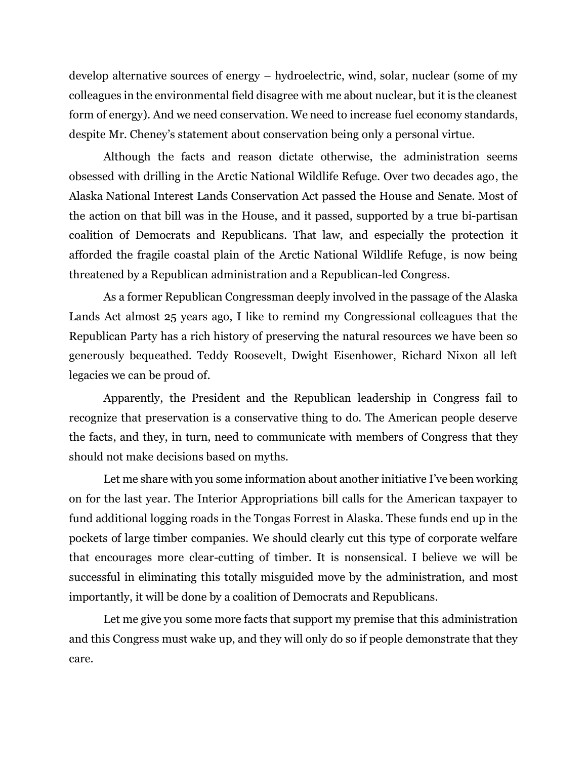develop alternative sources of energy – hydroelectric, wind, solar, nuclear (some of my colleagues in the environmental field disagree with me about nuclear, but it is the cleanest form of energy). And we need conservation. We need to increase fuel economy standards, despite Mr. Cheney's statement about conservation being only a personal virtue.

Although the facts and reason dictate otherwise, the administration seems obsessed with drilling in the Arctic National Wildlife Refuge. Over two decades ago, the Alaska National Interest Lands Conservation Act passed the House and Senate. Most of the action on that bill was in the House, and it passed, supported by a true bi-partisan coalition of Democrats and Republicans. That law, and especially the protection it afforded the fragile coastal plain of the Arctic National Wildlife Refuge, is now being threatened by a Republican administration and a Republican-led Congress.

As a former Republican Congressman deeply involved in the passage of the Alaska Lands Act almost 25 years ago, I like to remind my Congressional colleagues that the Republican Party has a rich history of preserving the natural resources we have been so generously bequeathed. Teddy Roosevelt, Dwight Eisenhower, Richard Nixon all left legacies we can be proud of.

Apparently, the President and the Republican leadership in Congress fail to recognize that preservation is a conservative thing to do. The American people deserve the facts, and they, in turn, need to communicate with members of Congress that they should not make decisions based on myths.

Let me share with you some information about another initiative I've been working on for the last year. The Interior Appropriations bill calls for the American taxpayer to fund additional logging roads in the Tongas Forrest in Alaska. These funds end up in the pockets of large timber companies. We should clearly cut this type of corporate welfare that encourages more clear-cutting of timber. It is nonsensical. I believe we will be successful in eliminating this totally misguided move by the administration, and most importantly, it will be done by a coalition of Democrats and Republicans.

Let me give you some more facts that support my premise that this administration and this Congress must wake up, and they will only do so if people demonstrate that they care.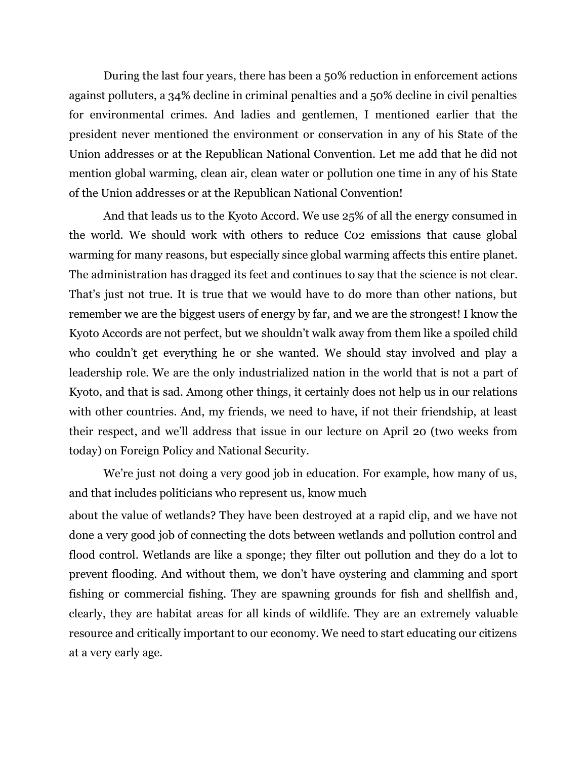During the last four years, there has been a 50% reduction in enforcement actions against polluters, a 34% decline in criminal penalties and a 50% decline in civil penalties for environmental crimes. And ladies and gentlemen, I mentioned earlier that the president never mentioned the environment or conservation in any of his State of the Union addresses or at the Republican National Convention. Let me add that he did not mention global warming, clean air, clean water or pollution one time in any of his State of the Union addresses or at the Republican National Convention!

And that leads us to the Kyoto Accord. We use 25% of all the energy consumed in the world. We should work with others to reduce C02 emissions that cause global warming for many reasons, but especially since global warming affects this entire planet. The administration has dragged its feet and continues to say that the science is not clear. That's just not true. It is true that we would have to do more than other nations, but remember we are the biggest users of energy by far, and we are the strongest! I know the Kyoto Accords are not perfect, but we shouldn't walk away from them like a spoiled child who couldn't get everything he or she wanted. We should stay involved and play a leadership role. We are the only industrialized nation in the world that is not a part of Kyoto, and that is sad. Among other things, it certainly does not help us in our relations with other countries. And, my friends, we need to have, if not their friendship, at least their respect, and we'll address that issue in our lecture on April 20 (two weeks from today) on Foreign Policy and National Security.

We're just not doing a very good job in education. For example, how many of us, and that includes politicians who represent us, know much

about the value of wetlands? They have been destroyed at a rapid clip, and we have not done a very good job of connecting the dots between wetlands and pollution control and flood control. Wetlands are like a sponge; they filter out pollution and they do a lot to prevent flooding. And without them, we don't have oystering and clamming and sport fishing or commercial fishing. They are spawning grounds for fish and shellfish and, clearly, they are habitat areas for all kinds of wildlife. They are an extremely valuable resource and critically important to our economy. We need to start educating our citizens at a very early age.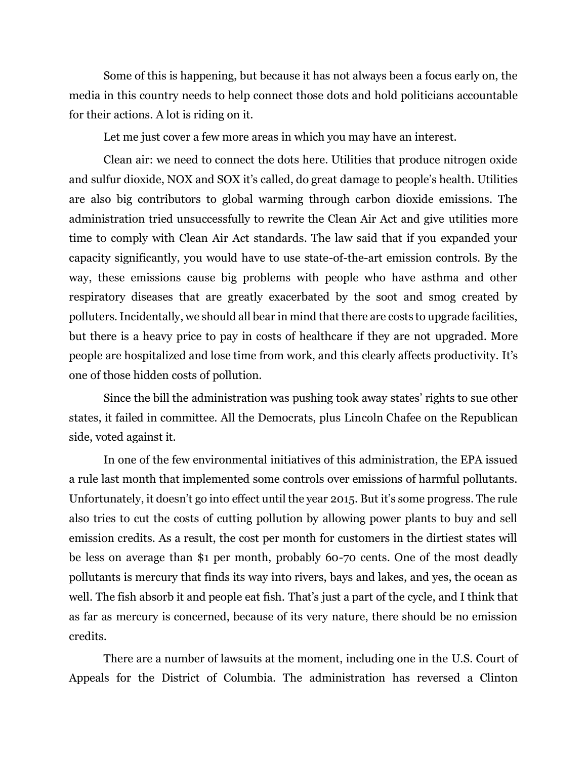Some of this is happening, but because it has not always been a focus early on, the media in this country needs to help connect those dots and hold politicians accountable for their actions. A lot is riding on it.

Let me just cover a few more areas in which you may have an interest.

Clean air: we need to connect the dots here. Utilities that produce nitrogen oxide and sulfur dioxide, NOX and SOX it's called, do great damage to people's health. Utilities are also big contributors to global warming through carbon dioxide emissions. The administration tried unsuccessfully to rewrite the Clean Air Act and give utilities more time to comply with Clean Air Act standards. The law said that if you expanded your capacity significantly, you would have to use state-of-the-art emission controls. By the way, these emissions cause big problems with people who have asthma and other respiratory diseases that are greatly exacerbated by the soot and smog created by polluters. Incidentally, we should all bear in mind that there are costs to upgrade facilities, but there is a heavy price to pay in costs of healthcare if they are not upgraded. More people are hospitalized and lose time from work, and this clearly affects productivity. It's one of those hidden costs of pollution.

Since the bill the administration was pushing took away states' rights to sue other states, it failed in committee. All the Democrats, plus Lincoln Chafee on the Republican side, voted against it.

In one of the few environmental initiatives of this administration, the EPA issued a rule last month that implemented some controls over emissions of harmful pollutants. Unfortunately, it doesn't go into effect until the year 2015. But it's some progress. The rule also tries to cut the costs of cutting pollution by allowing power plants to buy and sell emission credits. As a result, the cost per month for customers in the dirtiest states will be less on average than \$1 per month, probably 60-70 cents. One of the most deadly pollutants is mercury that finds its way into rivers, bays and lakes, and yes, the ocean as well. The fish absorb it and people eat fish. That's just a part of the cycle, and I think that as far as mercury is concerned, because of its very nature, there should be no emission credits.

There are a number of lawsuits at the moment, including one in the U.S. Court of Appeals for the District of Columbia. The administration has reversed a Clinton